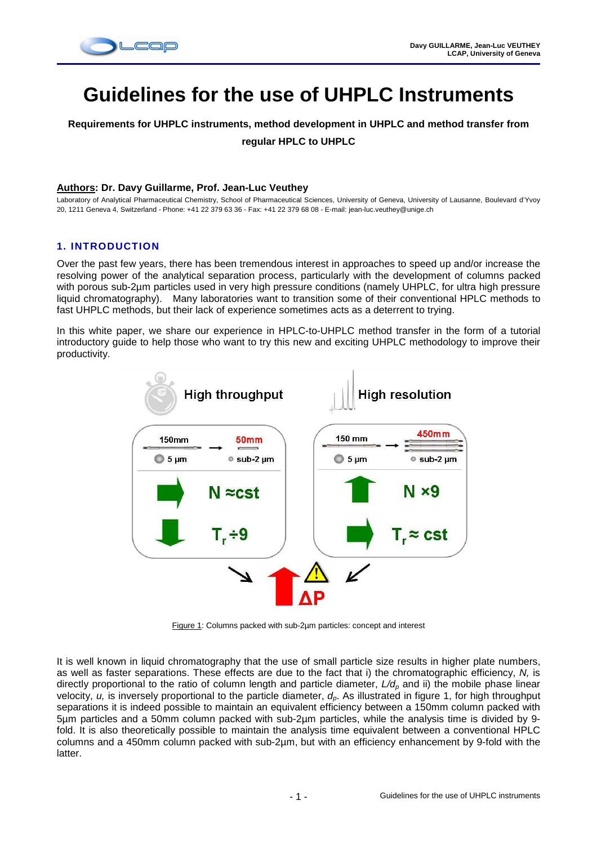

# **Guidelines for the use of UHPLC Instruments**

**Requirements for UHPLC instruments, method development in UHPLC and method transfer from** 

**regular HPLC to UHPLC** 

#### **Authors: Dr. Davy Guillarme, Prof. Jean-Luc Veuthey**

Laboratory of Analytical Pharmaceutical Chemistry, School of Pharmaceutical Sciences, University of Geneva, University of Lausanne, Boulevard d'Yvoy 20, 1211 Geneva 4, Switzerland - Phone: +41 22 379 63 36 - Fax: +41 22 379 68 08 - E-mail: jean-luc.veuthey@unige.ch

## **1. INTRODUCTION**

Over the past few years, there has been tremendous interest in approaches to speed up and/or increase the resolving power of the analytical separation process, particularly with the development of columns packed with porous sub-2µm particles used in very high pressure conditions (namely UHPLC, for ultra high pressure liquid chromatography). Many laboratories want to transition some of their conventional HPLC methods to fast UHPLC methods, but their lack of experience sometimes acts as a deterrent to trying.

In this white paper, we share our experience in HPLC-to-UHPLC method transfer in the form of a tutorial introductory guide to help those who want to try this new and exciting UHPLC methodology to improve their productivity.



Figure 1: Columns packed with sub-2µm particles: concept and interest

It is well known in liquid chromatography that the use of small particle size results in higher plate numbers, as well as faster separations. These effects are due to the fact that i) the chromatographic efficiency, N, is directly proportional to the ratio of column length and particle diameter,  $L/d<sub>p</sub>$  and ii) the mobile phase linear velocity,  $u$ , is inversely proportional to the particle diameter,  $d_p$ . As illustrated in figure 1, for high throughput separations it is indeed possible to maintain an equivalent efficiency between a 150mm column packed with 5µm particles and a 50mm column packed with sub-2µm particles, while the analysis time is divided by 9 fold. It is also theoretically possible to maintain the analysis time equivalent between a conventional HPLC columns and a 450mm column packed with sub-2µm, but with an efficiency enhancement by 9-fold with the latter.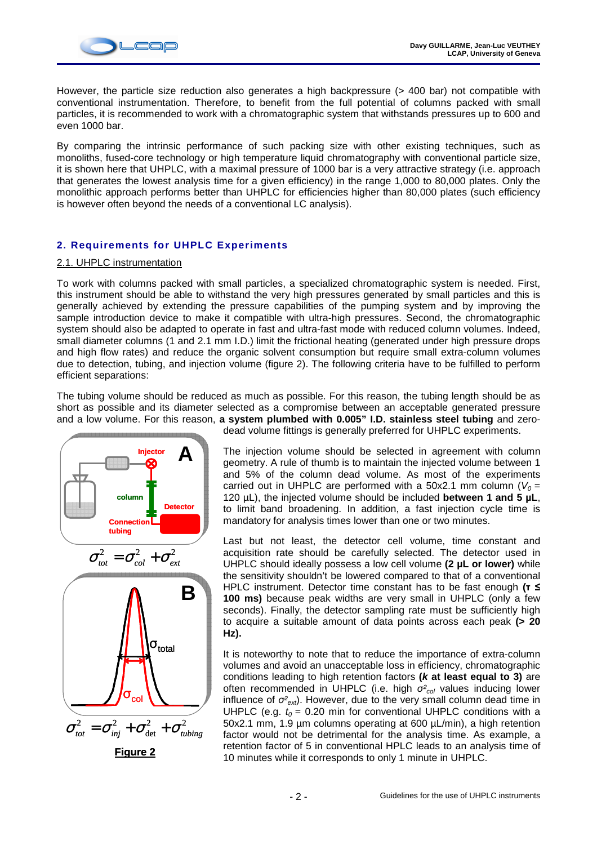

However, the particle size reduction also generates a high backpressure (> 400 bar) not compatible with conventional instrumentation. Therefore, to benefit from the full potential of columns packed with small particles, it is recommended to work with a chromatographic system that withstands pressures up to 600 and even 1000 bar.

By comparing the intrinsic performance of such packing size with other existing techniques, such as monoliths, fused-core technology or high temperature liquid chromatography with conventional particle size, it is shown here that UHPLC, with a maximal pressure of 1000 bar is a very attractive strategy (i.e. approach that generates the lowest analysis time for a given efficiency) in the range 1,000 to 80,000 plates. Only the monolithic approach performs better than UHPLC for efficiencies higher than 80,000 plates (such efficiency is however often beyond the needs of a conventional LC analysis).

## **2. Requirements for UHPLC Experiments**

## 2.1. UHPLC instrumentation

To work with columns packed with small particles, a specialized chromatographic system is needed. First, this instrument should be able to withstand the very high pressures generated by small particles and this is generally achieved by extending the pressure capabilities of the pumping system and by improving the sample introduction device to make it compatible with ultra-high pressures. Second, the chromatographic system should also be adapted to operate in fast and ultra-fast mode with reduced column volumes. Indeed, small diameter columns (1 and 2.1 mm I.D.) limit the frictional heating (generated under high pressure drops and high flow rates) and reduce the organic solvent consumption but require small extra-column volumes due to detection, tubing, and injection volume (figure 2). The following criteria have to be fulfilled to perform efficient separations:

The tubing volume should be reduced as much as possible. For this reason, the tubing length should be as short as possible and its diameter selected as a compromise between an acceptable generated pressure and a low volume. For this reason, **a system plumbed with 0.005" I.D. stainless steel tubing** and zero-



dead volume fittings is generally preferred for UHPLC experiments.

The injection volume should be selected in agreement with column geometry. A rule of thumb is to maintain the injected volume between 1 and 5% of the column dead volume. As most of the experiments carried out in UHPLC are performed with a 50x2.1 mm column ( $V_0 =$ 120 µL), the injected volume should be included **between 1 and 5 µL**, to limit band broadening. In addition, a fast injection cycle time is mandatory for analysis times lower than one or two minutes.

Last but not least, the detector cell volume, time constant and acquisition rate should be carefully selected. The detector used in UHPLC should ideally possess a low cell volume **(2 µL or lower)** while the sensitivity shouldn't be lowered compared to that of a conventional HPLC instrument. Detector time constant has to be fast enough **(**τ ≤ **100 ms)** because peak widths are very small in UHPLC (only a few seconds). Finally, the detector sampling rate must be sufficiently high to acquire a suitable amount of data points across each peak **(> 20 Hz).**

It is noteworthy to note that to reduce the importance of extra-column volumes and avoid an unacceptable loss in efficiency, chromatographic conditions leading to high retention factors **(k at least equal to 3)** are often recommended in UHPLC (i.e. high  $\sigma_{col}^2$  values inducing lower influence of  $\sigma_{ext}^2$ ). However, due to the very small column dead time in UHPLC (e.g.  $t_0 = 0.20$  min for conventional UHPLC conditions with a 50x2.1 mm, 1.9 µm columns operating at 600 µL/min), a high retention factor would not be detrimental for the analysis time. As example, a retention factor of 5 in conventional HPLC leads to an analysis time of 10 minutes while it corresponds to only 1 minute in UHPLC.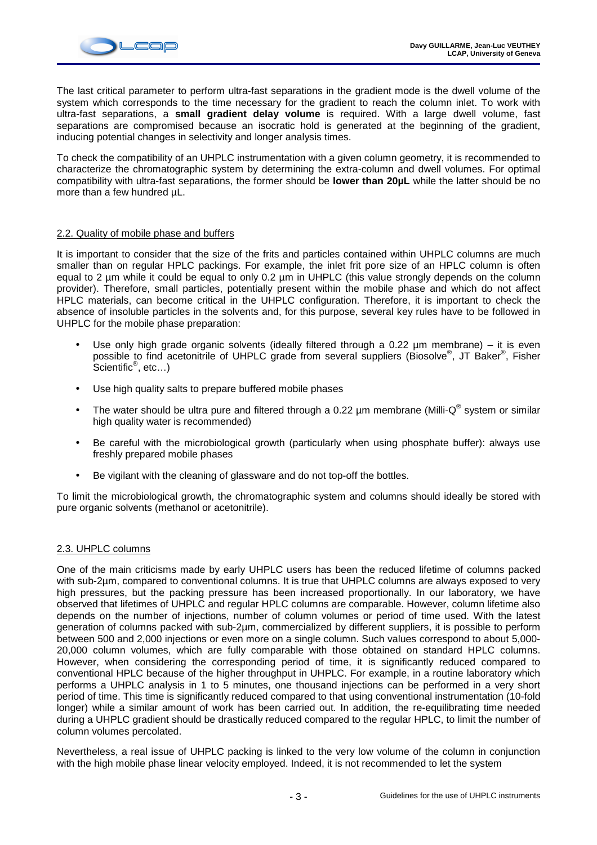

The last critical parameter to perform ultra-fast separations in the gradient mode is the dwell volume of the system which corresponds to the time necessary for the gradient to reach the column inlet. To work with ultra-fast separations, a **small gradient delay volume** is required. With a large dwell volume, fast separations are compromised because an isocratic hold is generated at the beginning of the gradient, inducing potential changes in selectivity and longer analysis times.

To check the compatibility of an UHPLC instrumentation with a given column geometry, it is recommended to characterize the chromatographic system by determining the extra-column and dwell volumes. For optimal compatibility with ultra-fast separations, the former should be **lower than 20µL** while the latter should be no more than a few hundred  $\mu$ L.

## 2.2. Quality of mobile phase and buffers

It is important to consider that the size of the frits and particles contained within UHPLC columns are much smaller than on regular HPLC packings. For example, the inlet frit pore size of an HPLC column is often equal to 2 µm while it could be equal to only 0.2 µm in UHPLC (this value strongly depends on the column provider). Therefore, small particles, potentially present within the mobile phase and which do not affect HPLC materials, can become critical in the UHPLC configuration. Therefore, it is important to check the absence of insoluble particles in the solvents and, for this purpose, several key rules have to be followed in UHPLC for the mobile phase preparation:

- Use only high grade organic solvents (ideally filtered through a 0.22 µm membrane) it is even possible to find acetonitrile of UHPLC grade from several suppliers (Biosolve®, JT Baker®, Fisher .<br>Scientific<sup>®</sup>, etc…)
- Use high quality salts to prepare buffered mobile phases
- The water should be ultra pure and filtered through a 0.22  $\mu$ m membrane (Milli-Q® system or similar high quality water is recommended)
- Be careful with the microbiological growth (particularly when using phosphate buffer): always use freshly prepared mobile phases
- Be vigilant with the cleaning of glassware and do not top-off the bottles.

To limit the microbiological growth, the chromatographic system and columns should ideally be stored with pure organic solvents (methanol or acetonitrile).

#### 2.3. UHPLC columns

One of the main criticisms made by early UHPLC users has been the reduced lifetime of columns packed with sub-2µm, compared to conventional columns. It is true that UHPLC columns are always exposed to very high pressures, but the packing pressure has been increased proportionally. In our laboratory, we have observed that lifetimes of UHPLC and regular HPLC columns are comparable. However, column lifetime also depends on the number of injections, number of column volumes or period of time used. With the latest generation of columns packed with sub-2µm, commercialized by different suppliers, it is possible to perform between 500 and 2,000 injections or even more on a single column. Such values correspond to about 5,000- 20,000 column volumes, which are fully comparable with those obtained on standard HPLC columns. However, when considering the corresponding period of time, it is significantly reduced compared to conventional HPLC because of the higher throughput in UHPLC. For example, in a routine laboratory which performs a UHPLC analysis in 1 to 5 minutes, one thousand injections can be performed in a very short period of time. This time is significantly reduced compared to that using conventional instrumentation (10-fold longer) while a similar amount of work has been carried out. In addition, the re-equilibrating time needed during a UHPLC gradient should be drastically reduced compared to the regular HPLC, to limit the number of column volumes percolated.

Nevertheless, a real issue of UHPLC packing is linked to the very low volume of the column in conjunction with the high mobile phase linear velocity employed. Indeed, it is not recommended to let the system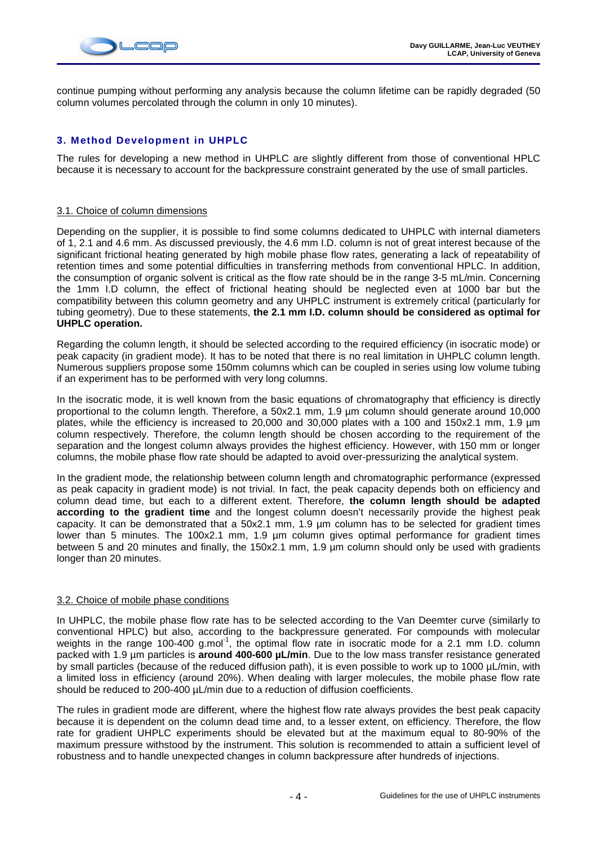

continue pumping without performing any analysis because the column lifetime can be rapidly degraded (50 column volumes percolated through the column in only 10 minutes).

## **3. Method Development in UHPLC**

The rules for developing a new method in UHPLC are slightly different from those of conventional HPLC because it is necessary to account for the backpressure constraint generated by the use of small particles.

#### 3.1. Choice of column dimensions

Depending on the supplier, it is possible to find some columns dedicated to UHPLC with internal diameters of 1, 2.1 and 4.6 mm. As discussed previously, the 4.6 mm I.D. column is not of great interest because of the significant frictional heating generated by high mobile phase flow rates, generating a lack of repeatability of retention times and some potential difficulties in transferring methods from conventional HPLC. In addition, the consumption of organic solvent is critical as the flow rate should be in the range 3-5 mL/min. Concerning the 1mm I.D column, the effect of frictional heating should be neglected even at 1000 bar but the compatibility between this column geometry and any UHPLC instrument is extremely critical (particularly for tubing geometry). Due to these statements, **the 2.1 mm I.D. column should be considered as optimal for UHPLC operation.** 

Regarding the column length, it should be selected according to the required efficiency (in isocratic mode) or peak capacity (in gradient mode). It has to be noted that there is no real limitation in UHPLC column length. Numerous suppliers propose some 150mm columns which can be coupled in series using low volume tubing if an experiment has to be performed with very long columns.

In the isocratic mode, it is well known from the basic equations of chromatography that efficiency is directly proportional to the column length. Therefore, a 50x2.1 mm, 1.9 µm column should generate around 10,000 plates, while the efficiency is increased to 20,000 and 30,000 plates with a 100 and 150x2.1 mm, 1.9 µm column respectively. Therefore, the column length should be chosen according to the requirement of the separation and the longest column always provides the highest efficiency. However, with 150 mm or longer columns, the mobile phase flow rate should be adapted to avoid over-pressurizing the analytical system.

In the gradient mode, the relationship between column length and chromatographic performance (expressed as peak capacity in gradient mode) is not trivial. In fact, the peak capacity depends both on efficiency and column dead time, but each to a different extent. Therefore, **the column length should be adapted according to the gradient time** and the longest column doesn't necessarily provide the highest peak capacity. It can be demonstrated that a 50x2.1 mm, 1.9 µm column has to be selected for gradient times lower than 5 minutes. The 100x2.1 mm, 1.9 um column gives optimal performance for gradient times between 5 and 20 minutes and finally, the 150x2.1 mm, 1.9 µm column should only be used with gradients longer than 20 minutes.

#### 3.2. Choice of mobile phase conditions

In UHPLC, the mobile phase flow rate has to be selected according to the Van Deemter curve (similarly to conventional HPLC) but also, according to the backpressure generated. For compounds with molecular weights in the range 100-400 g.mol<sup>-1</sup>, the optimal flow rate in isocratic mode for a 2.1 mm I.D. column packed with 1.9 µm particles is **around 400-600 µL/min**. Due to the low mass transfer resistance generated by small particles (because of the reduced diffusion path), it is even possible to work up to 1000 µL/min, with a limited loss in efficiency (around 20%). When dealing with larger molecules, the mobile phase flow rate should be reduced to 200-400 µL/min due to a reduction of diffusion coefficients.

The rules in gradient mode are different, where the highest flow rate always provides the best peak capacity because it is dependent on the column dead time and, to a lesser extent, on efficiency. Therefore, the flow rate for gradient UHPLC experiments should be elevated but at the maximum equal to 80-90% of the maximum pressure withstood by the instrument. This solution is recommended to attain a sufficient level of robustness and to handle unexpected changes in column backpressure after hundreds of injections.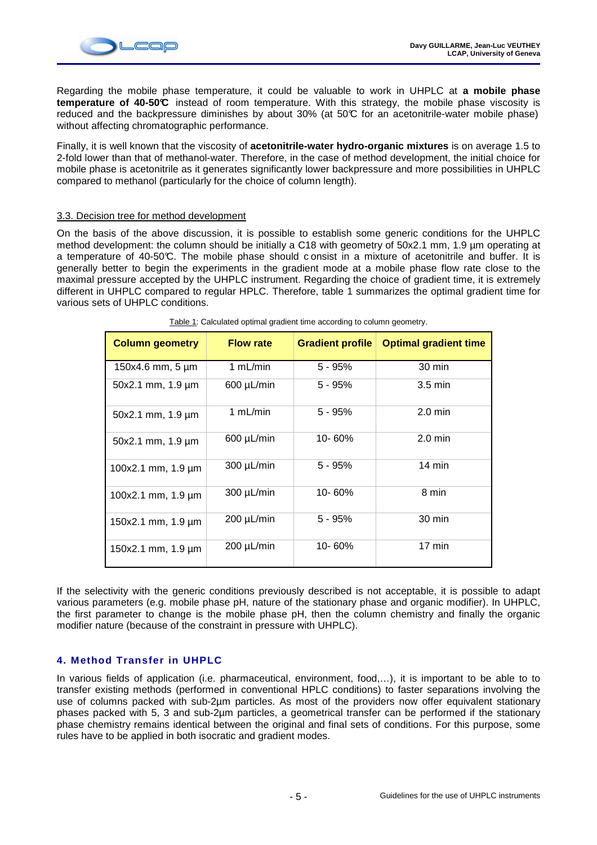

Regarding the mobile phase temperature, it could be valuable to work in UHPLC at **a mobile phase temperature of 40-50°C** instead of room temperature. With this strategy, the mobile phase viscosity is reduced and the backpressure diminishes by about 30% (at 50°C for an acetonitrile-water mobile phase) without affecting chromatographic performance.

Finally, it is well known that the viscosity of **acetonitrile-water hydro-organic mixtures** is on average 1.5 to 2-fold lower than that of methanol-water. Therefore, in the case of method development, the initial choice for mobile phase is acetonitrile as it generates significantly lower backpressure and more possibilities in UHPLC compared to methanol (particularly for the choice of column length).

## 3.3. Decision tree for method development

On the basis of the above discussion, it is possible to establish some generic conditions for the UHPLC method development: the column should be initially a C18 with geometry of 50x2.1 mm, 1.9 um operating at a temperature of 40-50°C. The mobile phase should consist in a mixture of acetonitrile and buffer. It is generally better to begin the experiments in the gradient mode at a mobile phase flow rate close to the maximal pressure accepted by the UHPLC instrument. Regarding the choice of gradient time, it is extremely different in UHPLC compared to regular HPLC. Therefore, table 1 summarizes the optimal gradient time for various sets of UHPLC conditions.

| rapid 1. Odiodidiod opinital gradioni, intro docording to colditin' goometry. |                  |                         |                              |  |  |  |
|-------------------------------------------------------------------------------|------------------|-------------------------|------------------------------|--|--|--|
| <b>Column geometry</b>                                                        | <b>Flow rate</b> | <b>Gradient profile</b> | <b>Optimal gradient time</b> |  |  |  |
| $150x4.6$ mm, 5 $\mu$ m                                                       | 1 $mL/min$       | $5 - 95%$               | $30 \text{ min}$             |  |  |  |
| $50x2.1$ mm, $1.9 \mu m$                                                      | 600 µL/min       | $5 - 95%$               | $3.5 \text{ min}$            |  |  |  |
| $50x2.1$ mm, $1.9 \mu m$                                                      | 1 $mL/min$       | $5 - 95%$               | $2.0 \text{ min}$            |  |  |  |
| 50x2.1 mm, 1.9 µm                                                             | $600 \mu L/min$  | 10-60%                  | $2.0 \text{ min}$            |  |  |  |
| 100x2.1 mm, 1.9 µm                                                            | 300 µL/min       | $5 - 95%$               | $14 \text{ min}$             |  |  |  |
| 100x2.1 mm, 1.9 µm                                                            | $300 \mu L/min$  | 10-60%                  | 8 min                        |  |  |  |
| 150x2.1 mm, 1.9 µm                                                            | 200 µL/min       | $5 - 95%$               | 30 min                       |  |  |  |
| 150x2.1 mm, $1.9 \mu m$                                                       | $200 \mu L/min$  | 10-60%                  | $17 \text{ min}$             |  |  |  |

Table 1: Calculated optimal gradient time according to column geometry.

If the selectivity with the generic conditions previously described is not acceptable, it is possible to adapt various parameters (e.g. mobile phase pH, nature of the stationary phase and organic modifier). In UHPLC, the first parameter to change is the mobile phase pH, then the column chemistry and finally the organic modifier nature (because of the constraint in pressure with UHPLC).

## **4. Method Transfer in UHPLC**

In various fields of application (i.e. pharmaceutical, environment, food,…), it is important to be able to to transfer existing methods (performed in conventional HPLC conditions) to faster separations involving the use of columns packed with sub-2µm particles. As most of the providers now offer equivalent stationary phases packed with 5, 3 and sub-2µm particles, a geometrical transfer can be performed if the stationary phase chemistry remains identical between the original and final sets of conditions. For this purpose, some rules have to be applied in both isocratic and gradient modes.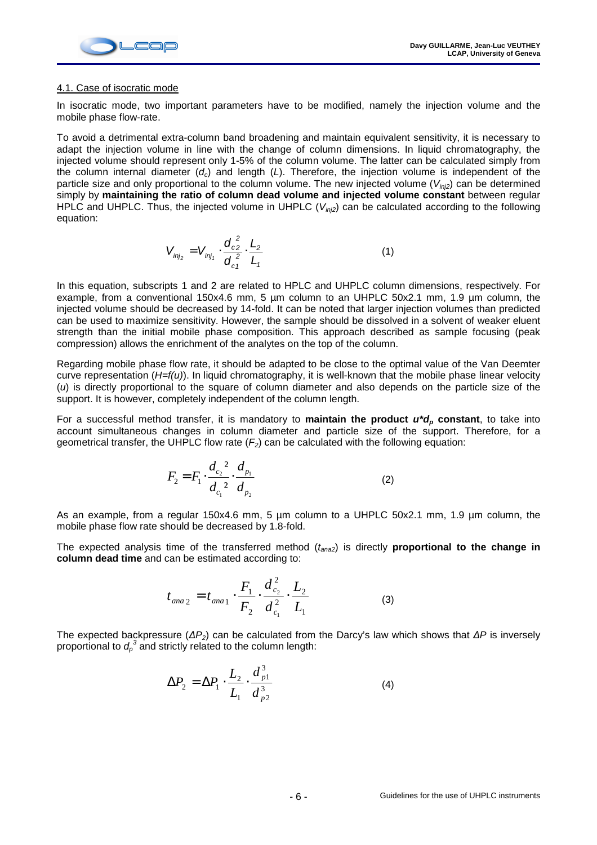

#### 4.1. Case of isocratic mode

In isocratic mode, two important parameters have to be modified, namely the injection volume and the mobile phase flow-rate.

To avoid a detrimental extra-column band broadening and maintain equivalent sensitivity, it is necessary to adapt the injection volume in line with the change of column dimensions. In liquid chromatography, the injected volume should represent only 1-5% of the column volume. The latter can be calculated simply from the column internal diameter  $(d_c)$  and length (L). Therefore, the injection volume is independent of the particle size and only proportional to the column volume. The new injected volume ( $V_{in2}$ ) can be determined simply by **maintaining the ratio of column dead volume and injected volume constant** between regular HPLC and UHPLC. Thus, the injected volume in UHPLC ( $V_{in/2}$ ) can be calculated according to the following equation:

$$
V_{inj_2} = V_{inj_1} \cdot \frac{d_{c2}^2}{d_{c1}^2} \cdot \frac{L_2}{L_1}
$$
 (1)

In this equation, subscripts 1 and 2 are related to HPLC and UHPLC column dimensions, respectively. For example, from a conventional 150x4.6 mm, 5 µm column to an UHPLC 50x2.1 mm, 1.9 µm column, the injected volume should be decreased by 14-fold. It can be noted that larger injection volumes than predicted can be used to maximize sensitivity. However, the sample should be dissolved in a solvent of weaker eluent strength than the initial mobile phase composition. This approach described as sample focusing (peak compression) allows the enrichment of the analytes on the top of the column.

Regarding mobile phase flow rate, it should be adapted to be close to the optimal value of the Van Deemter curve representation  $(H=f(u))$ . In liquid chromatography, it is well-known that the mobile phase linear velocity (u) is directly proportional to the square of column diameter and also depends on the particle size of the support. It is however, completely independent of the column length.

For a successful method transfer, it is mandatory to **maintain the product u\*dp constant**, to take into account simultaneous changes in column diameter and particle size of the support. Therefore, for a geometrical transfer, the UHPLC flow rate  $(F_2)$  can be calculated with the following equation:

$$
F_2 = F_1 \cdot \frac{d_{c_2}^2}{d_{c_1}^2} \cdot \frac{d_{p_1}}{d_{p_2}}
$$
 (2)

As an example, from a regular 150x4.6 mm, 5 um column to a UHPLC 50x2.1 mm, 1.9 um column, the mobile phase flow rate should be decreased by 1.8-fold.

The expected analysis time of the transferred method ( $t_{ana2}$ ) is directly **proportional to the change in column dead time** and can be estimated according to:

$$
t_{ana 2} = t_{ana 1} \cdot \frac{F_1}{F_2} \cdot \frac{d_{c_2}^2}{d_{c_1}^2} \cdot \frac{L_2}{L_1}
$$
 (3)

The expected backpressure ( $\Delta P_2$ ) can be calculated from the Darcy's law which shows that  $\Delta P$  is inversely proportional to  $d_p^{\;3}$  and strictly related to the column length:

$$
\Delta P_2 = \Delta P_1 \cdot \frac{L_2}{L_1} \cdot \frac{d_{p1}^3}{d_{p2}^3} \tag{4}
$$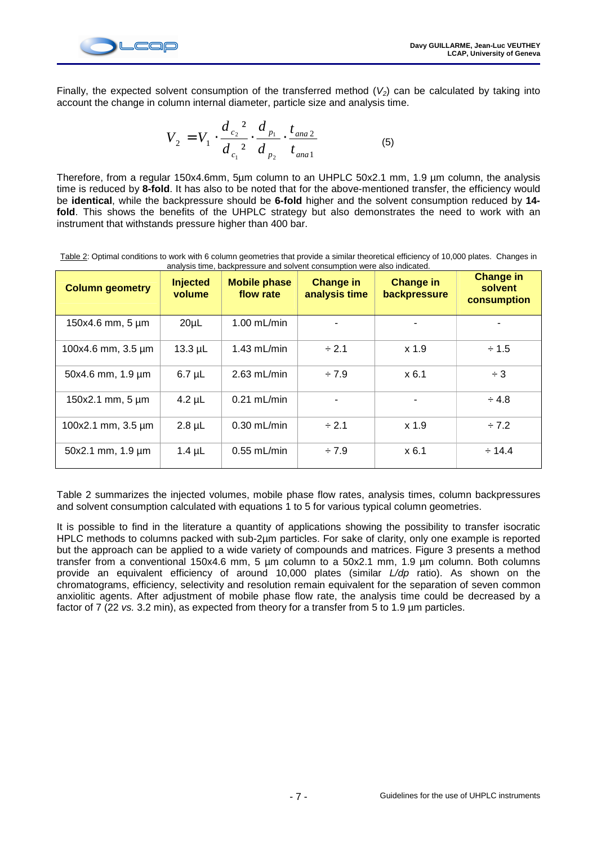

Finally, the expected solvent consumption of the transferred method  $(V_2)$  can be calculated by taking into account the change in column internal diameter, particle size and analysis time.

$$
V_2 = V_1 \cdot \frac{d_{c_2}^2}{d_{c_1}^2} \cdot \frac{d_{p_1}}{d_{p_2}} \cdot \frac{t_{ana2}}{t_{ana1}}
$$
 (5)

Therefore, from a regular 150x4.6mm, 5µm column to an UHPLC 50x2.1 mm, 1.9 µm column, the analysis time is reduced by **8-fold**. It has also to be noted that for the above-mentioned transfer, the efficiency would be **identical**, while the backpressure should be **6-fold** higher and the solvent consumption reduced by **14** fold. This shows the benefits of the UHPLC strategy but also demonstrates the need to work with an instrument that withstands pressure higher than 400 bar.

Table 2: Optimal conditions to work with 6 column geometries that provide a similar theoretical efficiency of 10,000 plates. Changes in analysis time, backpressure and solvent consumption were also indicated.

| <b>Column geometry</b> | <b>Injected</b><br>volume | <b>Mobile phase</b><br>flow rate | <b>Change in</b><br>analysis time | <b>Change in</b><br>backpressure | <b>Change in</b><br>solvent<br>consumption |
|------------------------|---------------------------|----------------------------------|-----------------------------------|----------------------------------|--------------------------------------------|
| 150x4.6 mm, 5 µm       | 20 <sub>µ</sub>           | $1.00$ mL/min                    |                                   |                                  |                                            |
| 100x4.6 mm, 3.5 µm     | $13.3 \mu L$              | $1.43$ mL/min                    | $-2.1$                            | x 1.9                            | $\div$ 1.5                                 |
| 50x4.6 mm, 1.9 µm      | $6.7 \mu L$               | $2.63$ mL/min                    | $-7.9$                            | x 6.1                            | $\div$ 3                                   |
| 150x2.1 mm, 5 µm       | $4.2 \mu L$               | $0.21$ mL/min                    |                                   |                                  | $\div$ 4.8                                 |
| 100x2.1 mm, 3.5 µm     | $2.8$ µL                  | $0.30$ mL/min                    | $\div 2.1$                        | x 1.9                            | $-7.2$                                     |
| 50x2.1 mm, 1.9 µm      | $1.4 \mu L$               | $0.55$ mL/min                    | $-7.9$                            | x 6.1                            | $\div$ 14.4                                |

Table 2 summarizes the injected volumes, mobile phase flow rates, analysis times, column backpressures and solvent consumption calculated with equations 1 to 5 for various typical column geometries.

It is possible to find in the literature a quantity of applications showing the possibility to transfer isocratic HPLC methods to columns packed with sub-2µm particles. For sake of clarity, only one example is reported but the approach can be applied to a wide variety of compounds and matrices. Figure 3 presents a method transfer from a conventional 150x4.6 mm, 5 µm column to a 50x2.1 mm, 1.9 µm column. Both columns provide an equivalent efficiency of around 10,000 plates (similar L/dp ratio). As shown on the chromatograms, efficiency, selectivity and resolution remain equivalent for the separation of seven common anxiolitic agents. After adjustment of mobile phase flow rate, the analysis time could be decreased by a factor of 7 (22 vs. 3.2 min), as expected from theory for a transfer from 5 to 1.9 µm particles.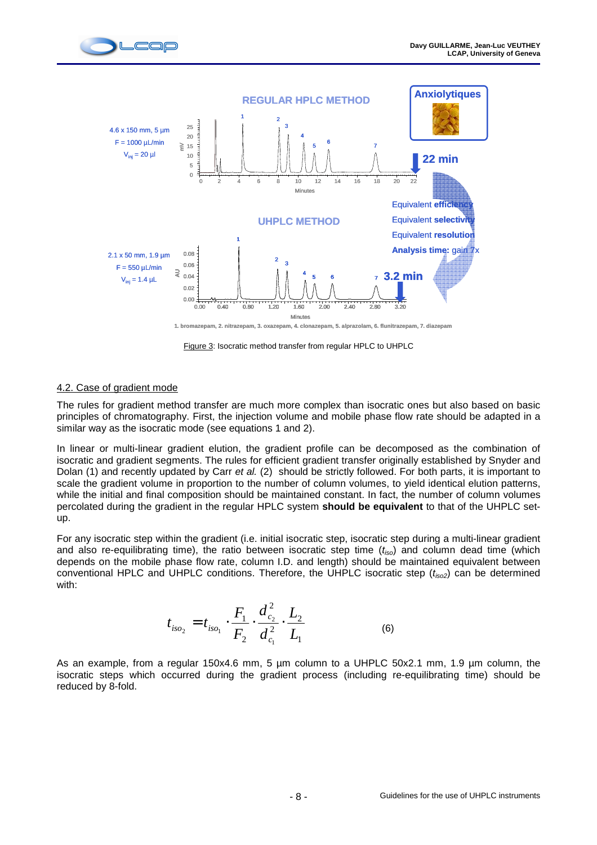



Figure 3: Isocratic method transfer from regular HPLC to UHPLC

## 4.2. Case of gradient mode

The rules for gradient method transfer are much more complex than isocratic ones but also based on basic principles of chromatography. First, the injection volume and mobile phase flow rate should be adapted in a similar way as the isocratic mode (see equations 1 and 2).

In linear or multi-linear gradient elution, the gradient profile can be decomposed as the combination of isocratic and gradient segments. The rules for efficient gradient transfer originally established by Snyder and Dolan (1) and recently updated by Carr et al. (2) should be strictly followed. For both parts, it is important to scale the gradient volume in proportion to the number of column volumes, to yield identical elution patterns, while the initial and final composition should be maintained constant. In fact, the number of column volumes percolated during the gradient in the regular HPLC system **should be equivalent** to that of the UHPLC setup.

For any isocratic step within the gradient (i.e. initial isocratic step, isocratic step during a multi-linear gradient and also re-equilibrating time), the ratio between isocratic step time  $(t_{iso})$  and column dead time (which depends on the mobile phase flow rate, column I.D. and length) should be maintained equivalent between conventional HPLC and UHPLC conditions. Therefore, the UHPLC isocratic step  $(t_{iso2})$  can be determined with:

$$
t_{iso_2} = t_{iso_1} \cdot \frac{F_1}{F_2} \cdot \frac{d_{c_2}^2}{d_{c_1}^2} \cdot \frac{L_2}{L_1}
$$
 (6)

As an example, from a regular 150x4.6 mm, 5 µm column to a UHPLC 50x2.1 mm, 1.9 µm column, the isocratic steps which occurred during the gradient process (including re-equilibrating time) should be reduced by 8-fold.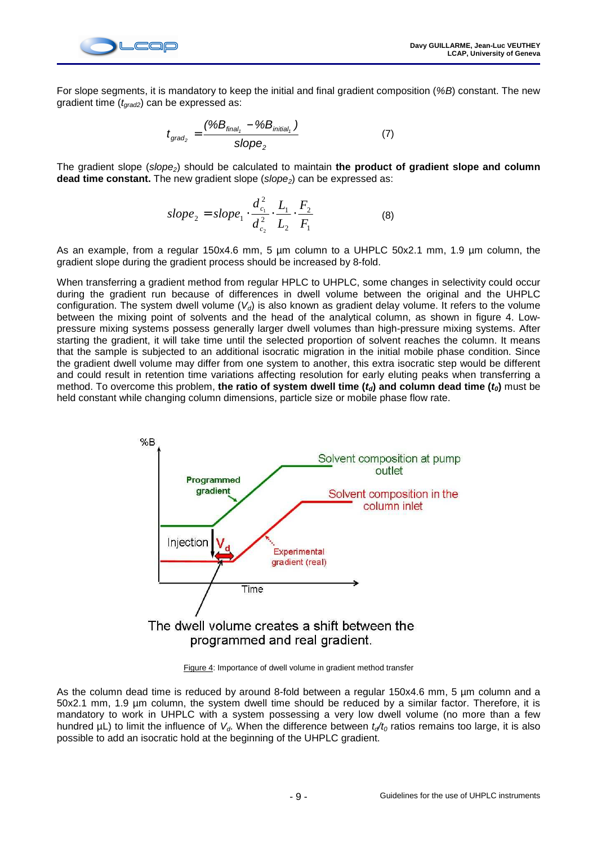

For slope segments, it is mandatory to keep the initial and final gradient composition (%B) constant. The new gradient time  $(t_{\text{grad2}})$  can be expressed as:

$$
t_{\text{grad}_2} = \frac{(\%B_{\text{final}_1} - \%B_{\text{initial}_1})}{slope_2}
$$
 (7)

The gradient slope (slope<sub>2</sub>) should be calculated to maintain the product of gradient slope and column **dead time constant.** The new gradient slope (slope<sub>2</sub>) can be expressed as:

slope<sub>2</sub> = slope<sub>1</sub> · 
$$
\frac{d_{c_1}^2}{d_{c_2}^2} \cdot \frac{L_1}{L_2} \cdot \frac{F_2}{F_1}
$$
 (8)

As an example, from a regular 150x4.6 mm, 5 µm column to a UHPLC 50x2.1 mm, 1.9 µm column, the gradient slope during the gradient process should be increased by 8-fold.

When transferring a gradient method from regular HPLC to UHPLC, some changes in selectivity could occur during the gradient run because of differences in dwell volume between the original and the UHPLC configuration. The system dwell volume  $(V_d)$  is also known as gradient delay volume. It refers to the volume between the mixing point of solvents and the head of the analytical column, as shown in figure 4. Lowpressure mixing systems possess generally larger dwell volumes than high-pressure mixing systems. After starting the gradient, it will take time until the selected proportion of solvent reaches the column. It means that the sample is subjected to an additional isocratic migration in the initial mobile phase condition. Since the gradient dwell volume may differ from one system to another, this extra isocratic step would be different and could result in retention time variations affecting resolution for early eluting peaks when transferring a method. To overcome this problem, the ratio of system dwell time  $(t<sub>d</sub>)$  and column dead time  $(t<sub>0</sub>)$  must be held constant while changing column dimensions, particle size or mobile phase flow rate.



Figure 4: Importance of dwell volume in gradient method transfer

As the column dead time is reduced by around 8-fold between a regular 150x4.6 mm, 5 um column and a 50x2.1 mm, 1.9 µm column, the system dwell time should be reduced by a similar factor. Therefore, it is mandatory to work in UHPLC with a system possessing a very low dwell volume (no more than a few hundred  $\mu$ L) to limit the influence of  $V_d$ . When the difference between  $t_d/t_0$  ratios remains too large, it is also possible to add an isocratic hold at the beginning of the UHPLC gradient.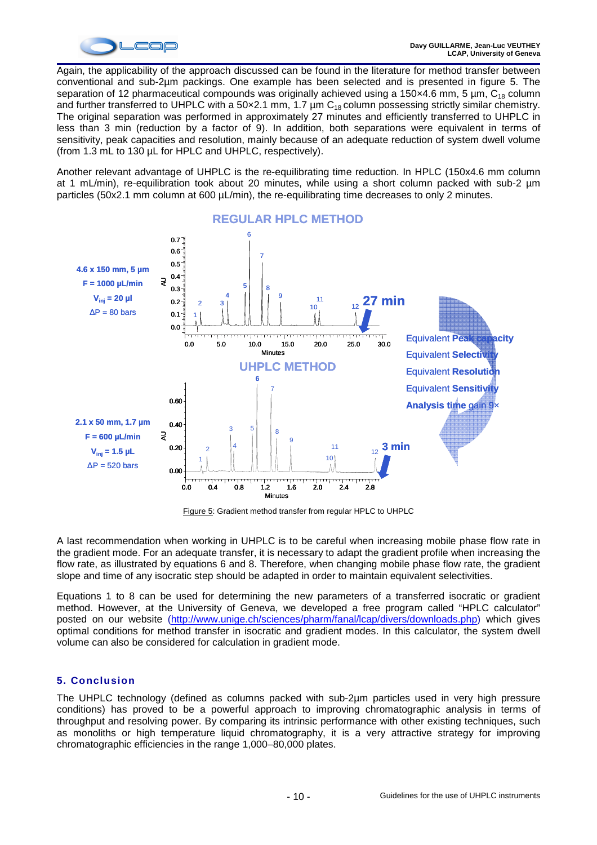

Again, the applicability of the approach discussed can be found in the literature for method transfer between conventional and sub-2µm packings. One example has been selected and is presented in figure 5. The separation of 12 pharmaceutical compounds was originally achieved using a 150 $\times$ 4.6 mm, 5 µm,  $C_{18}$  column and further transferred to UHPLC with a 50 $\times$ 2.1 mm, 1.7 µm C<sub>18</sub> column possessing strictly similar chemistry. The original separation was performed in approximately 27 minutes and efficiently transferred to UHPLC in less than 3 min (reduction by a factor of 9). In addition, both separations were equivalent in terms of sensitivity, peak capacities and resolution, mainly because of an adequate reduction of system dwell volume (from 1.3 mL to 130 µL for HPLC and UHPLC, respectively).

Another relevant advantage of UHPLC is the re-equilibrating time reduction. In HPLC (150x4.6 mm column at 1 mL/min), re-equilibration took about 20 minutes, while using a short column packed with sub-2 µm particles (50x2.1 mm column at 600 µL/min), the re-equilibrating time decreases to only 2 minutes.



Figure 5: Gradient method transfer from regular HPLC to UHPLC

A last recommendation when working in UHPLC is to be careful when increasing mobile phase flow rate in the gradient mode. For an adequate transfer, it is necessary to adapt the gradient profile when increasing the flow rate, as illustrated by equations 6 and 8. Therefore, when changing mobile phase flow rate, the gradient slope and time of any isocratic step should be adapted in order to maintain equivalent selectivities.

Equations 1 to 8 can be used for determining the new parameters of a transferred isocratic or gradient method. However, at the University of Geneva, we developed a free program called "HPLC calculator" posted on our website (http://www.unige.ch/sciences/pharm/fanal/lcap/divers/downloads.php) which gives optimal conditions for method transfer in isocratic and gradient modes. In this calculator, the system dwell volume can also be considered for calculation in gradient mode.

# **5. Conclusion**

The UHPLC technology (defined as columns packed with sub-2µm particles used in very high pressure conditions) has proved to be a powerful approach to improving chromatographic analysis in terms of throughput and resolving power. By comparing its intrinsic performance with other existing techniques, such as monoliths or high temperature liquid chromatography, it is a very attractive strategy for improving chromatographic efficiencies in the range 1,000–80,000 plates.